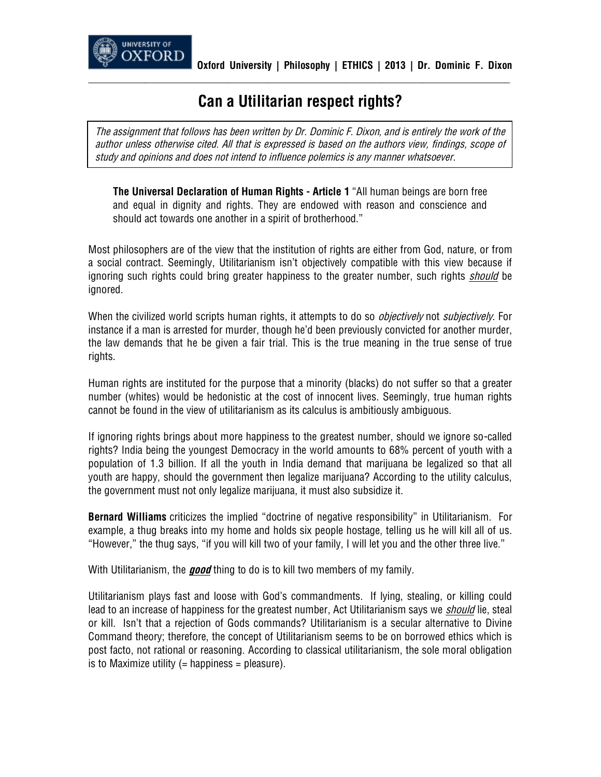

## **Can a Utilitarian respect rights?**

**\_\_\_\_\_\_\_\_\_\_\_\_\_\_\_\_\_\_\_\_\_\_\_\_\_\_\_\_\_\_\_\_\_\_\_\_\_\_\_\_\_\_\_\_\_\_\_\_\_\_\_\_\_\_\_\_\_\_\_\_\_\_\_\_\_\_\_\_\_\_\_\_\_\_\_\_\_\_\_\_\_\_**

*The assignment that follows has been written by Dr. Dominic F. Dixon, and is entirely the work of the author unless otherwise cited. All that is expressed is based on the authors view, findings, scope of study and opinions and does not intend to influence polemics is any manner whatsoever.*

**The Universal Declaration of Human Rights - Article 1** "All human beings are born free and equal in dignity and rights. They are endowed with reason and conscience and should act towards one another in a spirit of brotherhood."

Most philosophers are of the view that the institution of rights are either from God, nature, or from a social contract. Seemingly, Utilitarianism isn't objectively compatible with this view because if ignoring such rights could bring greater happiness to the greater number, such rights *should* be ignored.

When the civilized world scripts human rights, it attempts to do so *objectively* not *subjectively*. For instance if a man is arrested for murder, though he'd been previously convicted for another murder, the law demands that he be given a fair trial. This is the true meaning in the true sense of true rights.

Human rights are instituted for the purpose that a minority (blacks) do not suffer so that a greater number (whites) would be hedonistic at the cost of innocent lives. Seemingly, true human rights cannot be found in the view of utilitarianism as its calculus is ambitiously ambiguous.

If ignoring rights brings about more happiness to the greatest number, should we ignore so-called rights? India being the youngest Democracy in the world amounts to 68% percent of youth with a population of 1.3 billion. If all the youth in India demand that marijuana be legalized so that all youth are happy, should the government then legalize marijuana? According to the utility calculus, the government must not only legalize marijuana, it must also subsidize it.

**Bernard Williams** criticizes the implied "doctrine of negative responsibility" in Utilitarianism. For example, a thug breaks into my home and holds six people hostage, telling us he will kill all of us. "However," the thug says, "if you will kill two of your family, I will let you and the other three live."

With Utilitarianism, the *good* thing to do is to kill two members of my family.

Utilitarianism plays fast and loose with God's commandments. If lying, stealing, or killing could lead to an increase of happiness for the greatest number, Act Utilitarianism says we *should* lie, steal or kill. Isn't that a rejection of Gods commands? Utilitarianism is a secular alternative to Divine Command theory; therefore, the concept of Utilitarianism seems to be on borrowed ethics which is post facto, not rational or reasoning. According to classical utilitarianism, the sole moral obligation is to Maximize utility  $(=$  happiness  $=$  pleasure).